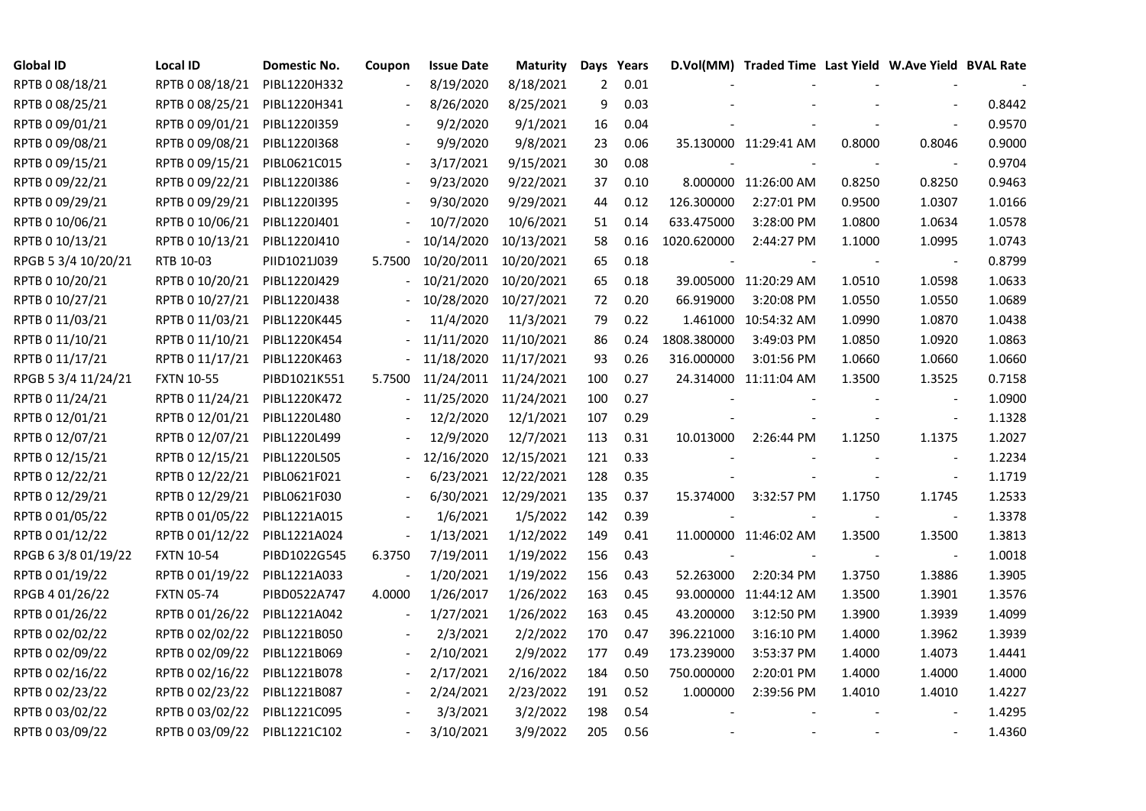| <b>Global ID</b>    | <b>Local ID</b>   | Domestic No. | Coupon                   | <b>Issue Date</b> | <b>Maturity</b>       |                | Days Years |             | D.Vol(MM) Traded Time Last Yield W.Ave Yield BVAL Rate |        |                          |        |
|---------------------|-------------------|--------------|--------------------------|-------------------|-----------------------|----------------|------------|-------------|--------------------------------------------------------|--------|--------------------------|--------|
| RPTB 0 08/18/21     | RPTB 0 08/18/21   | PIBL1220H332 |                          | 8/19/2020         | 8/18/2021             | $\overline{2}$ | 0.01       |             |                                                        |        |                          |        |
| RPTB 0 08/25/21     | RPTB 0 08/25/21   | PIBL1220H341 |                          | 8/26/2020         | 8/25/2021             | 9              | 0.03       |             |                                                        |        |                          | 0.8442 |
| RPTB 0 09/01/21     | RPTB 0 09/01/21   | PIBL1220I359 |                          | 9/2/2020          | 9/1/2021              | 16             | 0.04       |             |                                                        |        |                          | 0.9570 |
| RPTB 0 09/08/21     | RPTB 0 09/08/21   | PIBL1220I368 |                          | 9/9/2020          | 9/8/2021              | 23             | 0.06       |             | 35.130000 11:29:41 AM                                  | 0.8000 | 0.8046                   | 0.9000 |
| RPTB 0 09/15/21     | RPTB 0 09/15/21   | PIBL0621C015 | $\blacksquare$           | 3/17/2021         | 9/15/2021             | 30             | 0.08       |             |                                                        |        |                          | 0.9704 |
| RPTB 0 09/22/21     | RPTB 0 09/22/21   | PIBL12201386 |                          | 9/23/2020         | 9/22/2021             | 37             | 0.10       |             | 8.000000 11:26:00 AM                                   | 0.8250 | 0.8250                   | 0.9463 |
| RPTB 0 09/29/21     | RPTB 0 09/29/21   | PIBL1220I395 |                          | 9/30/2020         | 9/29/2021             | 44             | 0.12       | 126.300000  | 2:27:01 PM                                             | 0.9500 | 1.0307                   | 1.0166 |
| RPTB 0 10/06/21     | RPTB 0 10/06/21   | PIBL1220J401 |                          | 10/7/2020         | 10/6/2021             | 51             | 0.14       | 633.475000  | 3:28:00 PM                                             | 1.0800 | 1.0634                   | 1.0578 |
| RPTB 0 10/13/21     | RPTB 0 10/13/21   | PIBL1220J410 |                          | 10/14/2020        | 10/13/2021            | 58             | 0.16       | 1020.620000 | 2:44:27 PM                                             | 1.1000 | 1.0995                   | 1.0743 |
| RPGB 5 3/4 10/20/21 | RTB 10-03         | PIID1021J039 | 5.7500                   | 10/20/2011        | 10/20/2021            | 65             | 0.18       |             |                                                        |        |                          | 0.8799 |
| RPTB 0 10/20/21     | RPTB 0 10/20/21   | PIBL1220J429 |                          | 10/21/2020        | 10/20/2021            | 65             | 0.18       |             | 39.005000 11:20:29 AM                                  | 1.0510 | 1.0598                   | 1.0633 |
| RPTB 0 10/27/21     | RPTB 0 10/27/21   | PIBL1220J438 |                          | 10/28/2020        | 10/27/2021            | 72             | 0.20       | 66.919000   | 3:20:08 PM                                             | 1.0550 | 1.0550                   | 1.0689 |
| RPTB 0 11/03/21     | RPTB 0 11/03/21   | PIBL1220K445 |                          | 11/4/2020         | 11/3/2021             | 79             | 0.22       | 1.461000    | 10:54:32 AM                                            | 1.0990 | 1.0870                   | 1.0438 |
| RPTB 0 11/10/21     | RPTB 0 11/10/21   | PIBL1220K454 |                          | 11/11/2020        | 11/10/2021            | 86             | 0.24       | 1808.380000 | 3:49:03 PM                                             | 1.0850 | 1.0920                   | 1.0863 |
| RPTB 0 11/17/21     | RPTB 0 11/17/21   | PIBL1220K463 |                          | 11/18/2020        | 11/17/2021            | 93             | 0.26       | 316.000000  | 3:01:56 PM                                             | 1.0660 | 1.0660                   | 1.0660 |
| RPGB 5 3/4 11/24/21 | <b>FXTN 10-55</b> | PIBD1021K551 | 5.7500                   |                   | 11/24/2011 11/24/2021 | 100            | 0.27       |             | 24.314000 11:11:04 AM                                  | 1.3500 | 1.3525                   | 0.7158 |
| RPTB 0 11/24/21     | RPTB 0 11/24/21   | PIBL1220K472 |                          | 11/25/2020        | 11/24/2021            | 100            | 0.27       |             |                                                        |        |                          | 1.0900 |
| RPTB 0 12/01/21     | RPTB 0 12/01/21   | PIBL1220L480 |                          | 12/2/2020         | 12/1/2021             | 107            | 0.29       |             |                                                        |        | $\blacksquare$           | 1.1328 |
| RPTB 0 12/07/21     | RPTB 0 12/07/21   | PIBL1220L499 |                          | 12/9/2020         | 12/7/2021             | 113            | 0.31       | 10.013000   | 2:26:44 PM                                             | 1.1250 | 1.1375                   | 1.2027 |
| RPTB 0 12/15/21     | RPTB 0 12/15/21   | PIBL1220L505 |                          | 12/16/2020        | 12/15/2021            | 121            | 0.33       |             |                                                        |        | $\overline{\phantom{a}}$ | 1.2234 |
| RPTB 0 12/22/21     | RPTB 0 12/22/21   | PIBL0621F021 |                          | 6/23/2021         | 12/22/2021            | 128            | 0.35       |             |                                                        |        | $\blacksquare$           | 1.1719 |
| RPTB 0 12/29/21     | RPTB 0 12/29/21   | PIBL0621F030 |                          | 6/30/2021         | 12/29/2021            | 135            | 0.37       | 15.374000   | 3:32:57 PM                                             | 1.1750 | 1.1745                   | 1.2533 |
| RPTB 0 01/05/22     | RPTB 0 01/05/22   | PIBL1221A015 |                          | 1/6/2021          | 1/5/2022              | 142            | 0.39       |             |                                                        |        | $\overline{\phantom{a}}$ | 1.3378 |
| RPTB 0 01/12/22     | RPTB 0 01/12/22   | PIBL1221A024 | $\overline{\phantom{a}}$ | 1/13/2021         | 1/12/2022             | 149            | 0.41       |             | 11.000000 11:46:02 AM                                  | 1.3500 | 1.3500                   | 1.3813 |
| RPGB 63/8 01/19/22  | <b>FXTN 10-54</b> | PIBD1022G545 | 6.3750                   | 7/19/2011         | 1/19/2022             | 156            | 0.43       |             |                                                        |        |                          | 1.0018 |
| RPTB 0 01/19/22     | RPTB 0 01/19/22   | PIBL1221A033 |                          | 1/20/2021         | 1/19/2022             | 156            | 0.43       | 52.263000   | 2:20:34 PM                                             | 1.3750 | 1.3886                   | 1.3905 |
| RPGB 4 01/26/22     | <b>FXTN 05-74</b> | PIBD0522A747 | 4.0000                   | 1/26/2017         | 1/26/2022             | 163            | 0.45       |             | 93.000000 11:44:12 AM                                  | 1.3500 | 1.3901                   | 1.3576 |
| RPTB 0 01/26/22     | RPTB 0 01/26/22   | PIBL1221A042 | $\overline{\phantom{a}}$ | 1/27/2021         | 1/26/2022             | 163            | 0.45       | 43.200000   | 3:12:50 PM                                             | 1.3900 | 1.3939                   | 1.4099 |
| RPTB 0 02/02/22     | RPTB 0 02/02/22   | PIBL1221B050 |                          | 2/3/2021          | 2/2/2022              | 170            | 0.47       | 396.221000  | 3:16:10 PM                                             | 1.4000 | 1.3962                   | 1.3939 |
| RPTB 0 02/09/22     | RPTB 0 02/09/22   | PIBL1221B069 |                          | 2/10/2021         | 2/9/2022              | 177            | 0.49       | 173.239000  | 3:53:37 PM                                             | 1.4000 | 1.4073                   | 1.4441 |
| RPTB 0 02/16/22     | RPTB 0 02/16/22   | PIBL1221B078 |                          | 2/17/2021         | 2/16/2022             | 184            | 0.50       | 750.000000  | 2:20:01 PM                                             | 1.4000 | 1.4000                   | 1.4000 |
| RPTB 0 02/23/22     | RPTB 0 02/23/22   | PIBL1221B087 |                          | 2/24/2021         | 2/23/2022             | 191            | 0.52       | 1.000000    | 2:39:56 PM                                             | 1.4010 | 1.4010                   | 1.4227 |
| RPTB 0 03/02/22     | RPTB 0 03/02/22   | PIBL1221C095 |                          | 3/3/2021          | 3/2/2022              | 198            | 0.54       |             |                                                        |        |                          | 1.4295 |
| RPTB 0 03/09/22     | RPTB 0 03/09/22   | PIBL1221C102 |                          | 3/10/2021         | 3/9/2022              | 205            | 0.56       |             |                                                        |        |                          | 1.4360 |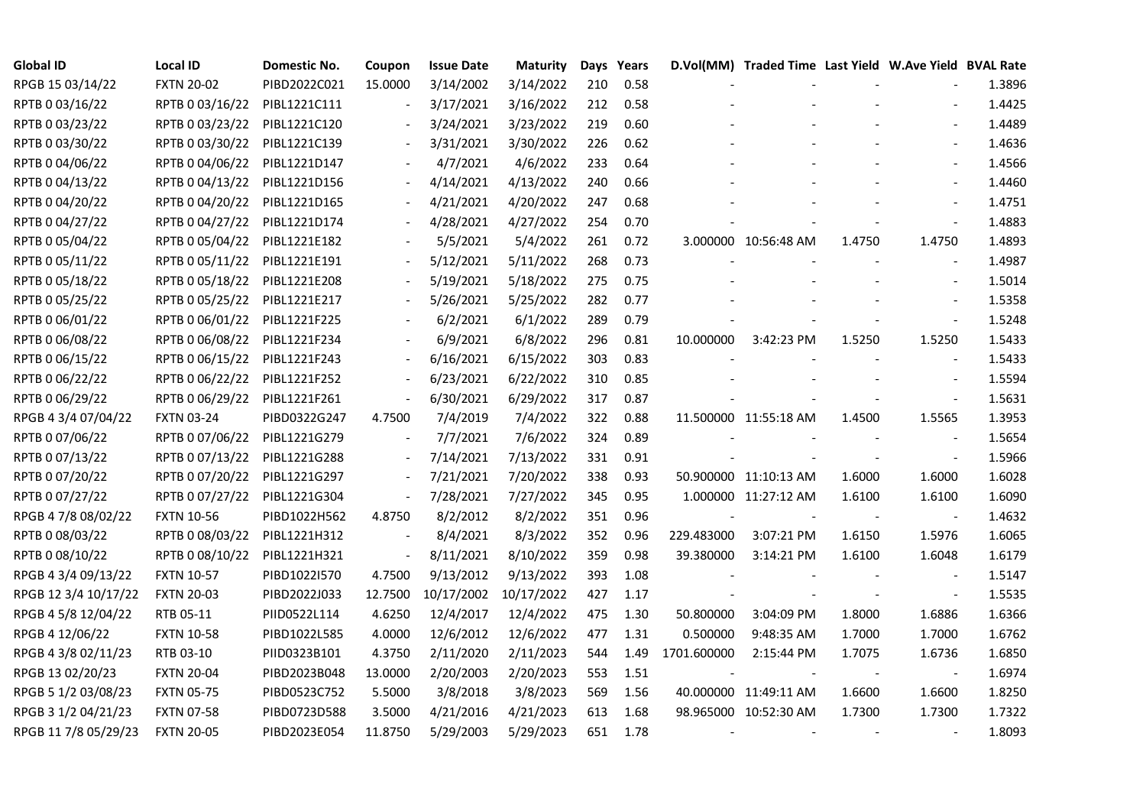| <b>Global ID</b>     | <b>Local ID</b>   | Domestic No. | Coupon                   | <b>Issue Date</b> | <b>Maturity</b> |     | Days Years |             | D.Vol(MM) Traded Time Last Yield W.Ave Yield BVAL Rate |        |                          |        |
|----------------------|-------------------|--------------|--------------------------|-------------------|-----------------|-----|------------|-------------|--------------------------------------------------------|--------|--------------------------|--------|
| RPGB 15 03/14/22     | <b>FXTN 20-02</b> | PIBD2022C021 | 15.0000                  | 3/14/2002         | 3/14/2022       | 210 | 0.58       |             |                                                        |        |                          | 1.3896 |
| RPTB 0 03/16/22      | RPTB 0 03/16/22   | PIBL1221C111 |                          | 3/17/2021         | 3/16/2022       | 212 | 0.58       |             |                                                        |        |                          | 1.4425 |
| RPTB 0 03/23/22      | RPTB 0 03/23/22   | PIBL1221C120 |                          | 3/24/2021         | 3/23/2022       | 219 | 0.60       |             |                                                        |        |                          | 1.4489 |
| RPTB 0 03/30/22      | RPTB 0 03/30/22   | PIBL1221C139 | $\blacksquare$           | 3/31/2021         | 3/30/2022       | 226 | 0.62       |             |                                                        |        | $\sim$                   | 1.4636 |
| RPTB 0 04/06/22      | RPTB 0 04/06/22   | PIBL1221D147 |                          | 4/7/2021          | 4/6/2022        | 233 | 0.64       |             |                                                        |        |                          | 1.4566 |
| RPTB 0 04/13/22      | RPTB 0 04/13/22   | PIBL1221D156 |                          | 4/14/2021         | 4/13/2022       | 240 | 0.66       |             |                                                        |        | $\blacksquare$           | 1.4460 |
| RPTB 0 04/20/22      | RPTB 0 04/20/22   | PIBL1221D165 |                          | 4/21/2021         | 4/20/2022       | 247 | 0.68       |             |                                                        |        | $\overline{\phantom{a}}$ | 1.4751 |
| RPTB 0 04/27/22      | RPTB 0 04/27/22   | PIBL1221D174 |                          | 4/28/2021         | 4/27/2022       | 254 | 0.70       |             |                                                        |        | $\blacksquare$           | 1.4883 |
| RPTB 0 05/04/22      | RPTB 0 05/04/22   | PIBL1221E182 |                          | 5/5/2021          | 5/4/2022        | 261 | 0.72       |             | 3.000000 10:56:48 AM                                   | 1.4750 | 1.4750                   | 1.4893 |
| RPTB 0 05/11/22      | RPTB 0 05/11/22   | PIBL1221E191 |                          | 5/12/2021         | 5/11/2022       | 268 | 0.73       |             |                                                        |        |                          | 1.4987 |
| RPTB 0 05/18/22      | RPTB 0 05/18/22   | PIBL1221E208 | $\blacksquare$           | 5/19/2021         | 5/18/2022       | 275 | 0.75       |             |                                                        |        | $\blacksquare$           | 1.5014 |
| RPTB 0 05/25/22      | RPTB 0 05/25/22   | PIBL1221E217 |                          | 5/26/2021         | 5/25/2022       | 282 | 0.77       |             |                                                        |        |                          | 1.5358 |
| RPTB 0 06/01/22      | RPTB 0 06/01/22   | PIBL1221F225 |                          | 6/2/2021          | 6/1/2022        | 289 | 0.79       |             |                                                        |        | $\Box$                   | 1.5248 |
| RPTB 0 06/08/22      | RPTB 0 06/08/22   | PIBL1221F234 |                          | 6/9/2021          | 6/8/2022        | 296 | 0.81       | 10.000000   | 3:42:23 PM                                             | 1.5250 | 1.5250                   | 1.5433 |
| RPTB 0 06/15/22      | RPTB 0 06/15/22   | PIBL1221F243 |                          | 6/16/2021         | 6/15/2022       | 303 | 0.83       |             |                                                        |        |                          | 1.5433 |
| RPTB 0 06/22/22      | RPTB 0 06/22/22   | PIBL1221F252 |                          | 6/23/2021         | 6/22/2022       | 310 | 0.85       |             |                                                        |        |                          | 1.5594 |
| RPTB 0 06/29/22      | RPTB 0 06/29/22   | PIBL1221F261 | $\overline{\phantom{a}}$ | 6/30/2021         | 6/29/2022       | 317 | 0.87       |             |                                                        |        | $\overline{\phantom{a}}$ | 1.5631 |
| RPGB 4 3/4 07/04/22  | <b>FXTN 03-24</b> | PIBD0322G247 | 4.7500                   | 7/4/2019          | 7/4/2022        | 322 | 0.88       |             | 11.500000 11:55:18 AM                                  | 1.4500 | 1.5565                   | 1.3953 |
| RPTB 0 07/06/22      | RPTB 0 07/06/22   | PIBL1221G279 | $\overline{\phantom{a}}$ | 7/7/2021          | 7/6/2022        | 324 | 0.89       |             |                                                        |        |                          | 1.5654 |
| RPTB 0 07/13/22      | RPTB 0 07/13/22   | PIBL1221G288 | $\overline{\phantom{a}}$ | 7/14/2021         | 7/13/2022       | 331 | 0.91       |             |                                                        |        | $\blacksquare$           | 1.5966 |
| RPTB 0 07/20/22      | RPTB 0 07/20/22   | PIBL1221G297 | $\blacksquare$           | 7/21/2021         | 7/20/2022       | 338 | 0.93       |             | 50.900000 11:10:13 AM                                  | 1.6000 | 1.6000                   | 1.6028 |
| RPTB 0 07/27/22      | RPTB 0 07/27/22   | PIBL1221G304 | $\blacksquare$           | 7/28/2021         | 7/27/2022       | 345 | 0.95       |             | 1.000000 11:27:12 AM                                   | 1.6100 | 1.6100                   | 1.6090 |
| RPGB 4 7/8 08/02/22  | <b>FXTN 10-56</b> | PIBD1022H562 | 4.8750                   | 8/2/2012          | 8/2/2022        | 351 | 0.96       |             |                                                        |        |                          | 1.4632 |
| RPTB 0 08/03/22      | RPTB 0 08/03/22   | PIBL1221H312 | $\overline{\phantom{a}}$ | 8/4/2021          | 8/3/2022        | 352 | 0.96       | 229.483000  | 3:07:21 PM                                             | 1.6150 | 1.5976                   | 1.6065 |
| RPTB 0 08/10/22      | RPTB 0 08/10/22   | PIBL1221H321 | $\overline{\phantom{a}}$ | 8/11/2021         | 8/10/2022       | 359 | 0.98       | 39.380000   | 3:14:21 PM                                             | 1.6100 | 1.6048                   | 1.6179 |
| RPGB 4 3/4 09/13/22  | <b>FXTN 10-57</b> | PIBD1022I570 | 4.7500                   | 9/13/2012         | 9/13/2022       | 393 | 1.08       |             |                                                        |        |                          | 1.5147 |
| RPGB 12 3/4 10/17/22 | <b>FXTN 20-03</b> | PIBD2022J033 | 12.7500                  | 10/17/2002        | 10/17/2022      | 427 | 1.17       |             |                                                        |        | $\blacksquare$           | 1.5535 |
| RPGB 4 5/8 12/04/22  | RTB 05-11         | PIID0522L114 | 4.6250                   | 12/4/2017         | 12/4/2022       | 475 | 1.30       | 50.800000   | 3:04:09 PM                                             | 1.8000 | 1.6886                   | 1.6366 |
| RPGB 4 12/06/22      | <b>FXTN 10-58</b> | PIBD1022L585 | 4.0000                   | 12/6/2012         | 12/6/2022       | 477 | 1.31       | 0.500000    | 9:48:35 AM                                             | 1.7000 | 1.7000                   | 1.6762 |
| RPGB 4 3/8 02/11/23  | RTB 03-10         | PIID0323B101 | 4.3750                   | 2/11/2020         | 2/11/2023       | 544 | 1.49       | 1701.600000 | 2:15:44 PM                                             | 1.7075 | 1.6736                   | 1.6850 |
| RPGB 13 02/20/23     | <b>FXTN 20-04</b> | PIBD2023B048 | 13.0000                  | 2/20/2003         | 2/20/2023       | 553 | 1.51       |             |                                                        |        |                          | 1.6974 |
| RPGB 5 1/2 03/08/23  | <b>FXTN 05-75</b> | PIBD0523C752 | 5.5000                   | 3/8/2018          | 3/8/2023        | 569 | 1.56       |             | 40.000000 11:49:11 AM                                  | 1.6600 | 1.6600                   | 1.8250 |
| RPGB 3 1/2 04/21/23  | <b>FXTN 07-58</b> | PIBD0723D588 | 3.5000                   | 4/21/2016         | 4/21/2023       | 613 | 1.68       |             | 98.965000 10:52:30 AM                                  | 1.7300 | 1.7300                   | 1.7322 |
| RPGB 11 7/8 05/29/23 | <b>FXTN 20-05</b> | PIBD2023E054 | 11.8750                  | 5/29/2003         | 5/29/2023       | 651 | 1.78       |             |                                                        |        |                          | 1.8093 |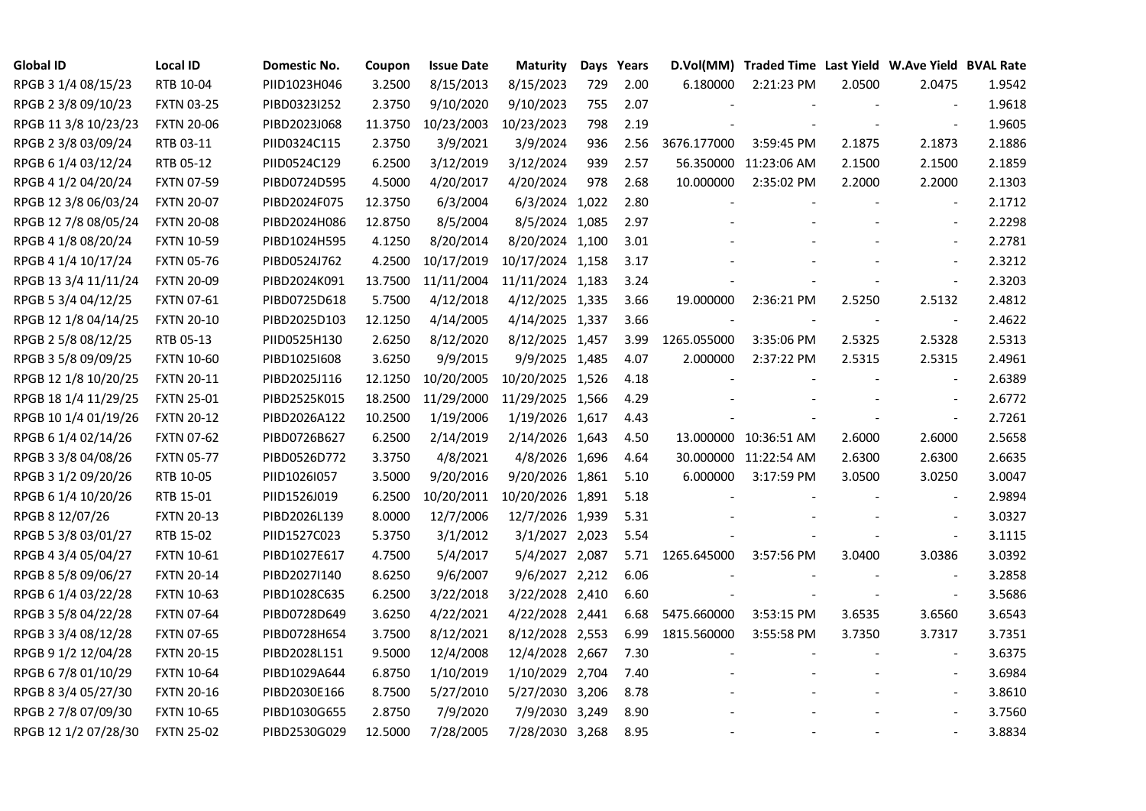| <b>Global ID</b>     | <b>Local ID</b>   | Domestic No. | Coupon  | <b>Issue Date</b> | <b>Maturity</b>  | Days | Years |             | D.Vol(MM) Traded Time Last Yield W.Ave Yield BVAL Rate |        |                          |        |
|----------------------|-------------------|--------------|---------|-------------------|------------------|------|-------|-------------|--------------------------------------------------------|--------|--------------------------|--------|
| RPGB 3 1/4 08/15/23  | RTB 10-04         | PIID1023H046 | 3.2500  | 8/15/2013         | 8/15/2023        | 729  | 2.00  | 6.180000    | 2:21:23 PM                                             | 2.0500 | 2.0475                   | 1.9542 |
| RPGB 2 3/8 09/10/23  | <b>FXTN 03-25</b> | PIBD0323I252 | 2.3750  | 9/10/2020         | 9/10/2023        | 755  | 2.07  |             |                                                        |        |                          | 1.9618 |
| RPGB 11 3/8 10/23/23 | <b>FXTN 20-06</b> | PIBD2023J068 | 11.3750 | 10/23/2003        | 10/23/2023       | 798  | 2.19  |             |                                                        |        | $\overline{\phantom{a}}$ | 1.9605 |
| RPGB 2 3/8 03/09/24  | RTB 03-11         | PIID0324C115 | 2.3750  | 3/9/2021          | 3/9/2024         | 936  | 2.56  | 3676.177000 | 3:59:45 PM                                             | 2.1875 | 2.1873                   | 2.1886 |
| RPGB 6 1/4 03/12/24  | RTB 05-12         | PIID0524C129 | 6.2500  | 3/12/2019         | 3/12/2024        | 939  | 2.57  |             | 56.350000 11:23:06 AM                                  | 2.1500 | 2.1500                   | 2.1859 |
| RPGB 4 1/2 04/20/24  | <b>FXTN 07-59</b> | PIBD0724D595 | 4.5000  | 4/20/2017         | 4/20/2024        | 978  | 2.68  | 10.000000   | 2:35:02 PM                                             | 2.2000 | 2.2000                   | 2.1303 |
| RPGB 12 3/8 06/03/24 | <b>FXTN 20-07</b> | PIBD2024F075 | 12.3750 | 6/3/2004          | 6/3/2024 1,022   |      | 2.80  |             |                                                        |        | $\blacksquare$           | 2.1712 |
| RPGB 12 7/8 08/05/24 | <b>FXTN 20-08</b> | PIBD2024H086 | 12.8750 | 8/5/2004          | 8/5/2024 1,085   |      | 2.97  |             |                                                        |        | $\overline{\phantom{a}}$ | 2.2298 |
| RPGB 4 1/8 08/20/24  | <b>FXTN 10-59</b> | PIBD1024H595 | 4.1250  | 8/20/2014         | 8/20/2024 1,100  |      | 3.01  |             |                                                        |        |                          | 2.2781 |
| RPGB 4 1/4 10/17/24  | <b>FXTN 05-76</b> | PIBD0524J762 | 4.2500  | 10/17/2019        | 10/17/2024 1,158 |      | 3.17  |             |                                                        |        | $\blacksquare$           | 2.3212 |
| RPGB 13 3/4 11/11/24 | <b>FXTN 20-09</b> | PIBD2024K091 | 13.7500 | 11/11/2004        | 11/11/2024 1,183 |      | 3.24  |             |                                                        |        | $\blacksquare$           | 2.3203 |
| RPGB 5 3/4 04/12/25  | <b>FXTN 07-61</b> | PIBD0725D618 | 5.7500  | 4/12/2018         | 4/12/2025 1,335  |      | 3.66  | 19.000000   | 2:36:21 PM                                             | 2.5250 | 2.5132                   | 2.4812 |
| RPGB 12 1/8 04/14/25 | <b>FXTN 20-10</b> | PIBD2025D103 | 12.1250 | 4/14/2005         | 4/14/2025 1,337  |      | 3.66  |             |                                                        |        | $\blacksquare$           | 2.4622 |
| RPGB 2 5/8 08/12/25  | RTB 05-13         | PIID0525H130 | 2.6250  | 8/12/2020         | 8/12/2025 1,457  |      | 3.99  | 1265.055000 | 3:35:06 PM                                             | 2.5325 | 2.5328                   | 2.5313 |
| RPGB 3 5/8 09/09/25  | <b>FXTN 10-60</b> | PIBD10251608 | 3.6250  | 9/9/2015          | 9/9/2025 1,485   |      | 4.07  | 2.000000    | 2:37:22 PM                                             | 2.5315 | 2.5315                   | 2.4961 |
| RPGB 12 1/8 10/20/25 | <b>FXTN 20-11</b> | PIBD2025J116 | 12.1250 | 10/20/2005        | 10/20/2025 1,526 |      | 4.18  |             |                                                        |        |                          | 2.6389 |
| RPGB 18 1/4 11/29/25 | <b>FXTN 25-01</b> | PIBD2525K015 | 18.2500 | 11/29/2000        | 11/29/2025 1,566 |      | 4.29  |             |                                                        |        | $\overline{\phantom{a}}$ | 2.6772 |
| RPGB 10 1/4 01/19/26 | <b>FXTN 20-12</b> | PIBD2026A122 | 10.2500 | 1/19/2006         | 1/19/2026 1,617  |      | 4.43  |             |                                                        |        | $\blacksquare$           | 2.7261 |
| RPGB 6 1/4 02/14/26  | <b>FXTN 07-62</b> | PIBD0726B627 | 6.2500  | 2/14/2019         | 2/14/2026 1,643  |      | 4.50  |             | 13.000000 10:36:51 AM                                  | 2.6000 | 2.6000                   | 2.5658 |
| RPGB 3 3/8 04/08/26  | <b>FXTN 05-77</b> | PIBD0526D772 | 3.3750  | 4/8/2021          | 4/8/2026 1,696   |      | 4.64  |             | 30.000000 11:22:54 AM                                  | 2.6300 | 2.6300                   | 2.6635 |
| RPGB 3 1/2 09/20/26  | RTB 10-05         | PIID1026I057 | 3.5000  | 9/20/2016         | 9/20/2026 1,861  |      | 5.10  | 6.000000    | 3:17:59 PM                                             | 3.0500 | 3.0250                   | 3.0047 |
| RPGB 6 1/4 10/20/26  | RTB 15-01         | PIID1526J019 | 6.2500  | 10/20/2011        | 10/20/2026 1,891 |      | 5.18  |             |                                                        |        | $\overline{\phantom{a}}$ | 2.9894 |
| RPGB 8 12/07/26      | <b>FXTN 20-13</b> | PIBD2026L139 | 8.0000  | 12/7/2006         | 12/7/2026 1,939  |      | 5.31  |             |                                                        |        | $\overline{a}$           | 3.0327 |
| RPGB 5 3/8 03/01/27  | RTB 15-02         | PIID1527C023 | 5.3750  | 3/1/2012          | 3/1/2027 2,023   |      | 5.54  |             |                                                        |        | $\blacksquare$           | 3.1115 |
| RPGB 4 3/4 05/04/27  | <b>FXTN 10-61</b> | PIBD1027E617 | 4.7500  | 5/4/2017          | 5/4/2027 2,087   |      | 5.71  | 1265.645000 | 3:57:56 PM                                             | 3.0400 | 3.0386                   | 3.0392 |
| RPGB 8 5/8 09/06/27  | <b>FXTN 20-14</b> | PIBD2027I140 | 8.6250  | 9/6/2007          | 9/6/2027 2,212   |      | 6.06  |             |                                                        |        | $\blacksquare$           | 3.2858 |
| RPGB 6 1/4 03/22/28  | <b>FXTN 10-63</b> | PIBD1028C635 | 6.2500  | 3/22/2018         | 3/22/2028 2,410  |      | 6.60  |             |                                                        |        | $\blacksquare$           | 3.5686 |
| RPGB 3 5/8 04/22/28  | <b>FXTN 07-64</b> | PIBD0728D649 | 3.6250  | 4/22/2021         | 4/22/2028 2,441  |      | 6.68  | 5475.660000 | 3:53:15 PM                                             | 3.6535 | 3.6560                   | 3.6543 |
| RPGB 3 3/4 08/12/28  | <b>FXTN 07-65</b> | PIBD0728H654 | 3.7500  | 8/12/2021         | 8/12/2028 2,553  |      | 6.99  | 1815.560000 | 3:55:58 PM                                             | 3.7350 | 3.7317                   | 3.7351 |
| RPGB 9 1/2 12/04/28  | <b>FXTN 20-15</b> | PIBD2028L151 | 9.5000  | 12/4/2008         | 12/4/2028 2,667  |      | 7.30  |             |                                                        |        |                          | 3.6375 |
| RPGB 67/8 01/10/29   | <b>FXTN 10-64</b> | PIBD1029A644 | 6.8750  | 1/10/2019         | 1/10/2029 2,704  |      | 7.40  |             |                                                        |        | $\blacksquare$           | 3.6984 |
| RPGB 8 3/4 05/27/30  | <b>FXTN 20-16</b> | PIBD2030E166 | 8.7500  | 5/27/2010         | 5/27/2030 3,206  |      | 8.78  |             |                                                        |        | $\overline{\phantom{a}}$ | 3.8610 |
| RPGB 2 7/8 07/09/30  | <b>FXTN 10-65</b> | PIBD1030G655 | 2.8750  | 7/9/2020          | 7/9/2030 3,249   |      | 8.90  |             |                                                        |        |                          | 3.7560 |
| RPGB 12 1/2 07/28/30 | <b>FXTN 25-02</b> | PIBD2530G029 | 12.5000 | 7/28/2005         | 7/28/2030 3,268  |      | 8.95  |             |                                                        |        | $\blacksquare$           | 3.8834 |